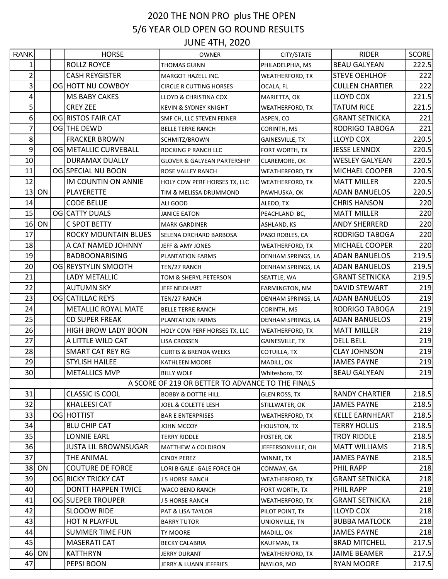## 2020 THE NON PRO plus THE OPEN 5/6 YEAR OLD OPEN GO ROUND RESULTS JUNE 4TH, 2020

| <b>RANK</b>    |    | <b>HORSE</b>                | <b>OWNER</b>                                      | CITY/STATE             | <b>RIDER</b>           | <b>SCORE</b> |
|----------------|----|-----------------------------|---------------------------------------------------|------------------------|------------------------|--------------|
| 1              |    | <b>ROLLZ ROYCE</b>          | THOMAS GUINN                                      | PHILADELPHIA, MS       | <b>BEAU GALYEAN</b>    | 222.5        |
| $\overline{2}$ |    | <b>CASH REYGISTER</b>       | MARGOT HAZELL INC.                                | <b>WEATHERFORD, TX</b> | <b>STEVE OEHLHOF</b>   | 222          |
| 3              |    | OG HOTT NU COWBOY           | <b>CIRCLE R CUTTING HORSES</b>                    | OCALA, FL              | <b>CULLEN CHARTIER</b> | 222          |
| 4              |    | <b>MS BABY CAKES</b>        | LLOYD & CHRISTINA COX                             | MARIETTA, OK           | LLOYD COX              | 221.5        |
| 5              |    | <b>CREY ZEE</b>             | KEVIN & SYDNEY KNIGHT                             | <b>WEATHERFORD, TX</b> | <b>TATUM RICE</b>      | 221.5        |
| 6              |    | OG RISTOS FAIR CAT          | SMF CH, LLC STEVEN FEINER                         | ASPEN, CO              | <b>GRANT SETNICKA</b>  | 221          |
| 7              |    | OG THE DEWD                 | <b>BELLE TERRE RANCH</b>                          | CORINTH, MS            | RODRIGO TABOGA         | 221          |
| 8              |    | <b>FRACKER BROWN</b>        | SCHMITZ/BROWN                                     | <b>GAINESVILLE, TX</b> | <b>LLOYD COX</b>       | 220.5        |
| 9              |    | OG METALLIC CURVEBALL       | ROCKING P RANCH LLC                               | FORT WORTH, TX         | <b>JESSE LENNOX</b>    | 220.5        |
| 10             |    | <b>DURAMAX DUALLY</b>       | <b>GLOVER &amp; GALYEAN PARTERSHIP</b>            | CLAREMORE, OK          | <b>WESLEY GALYEAN</b>  | 220.5        |
| 11             |    | OG SPECIAL NU BOON          | ROSE VALLEY RANCH                                 | <b>WEATHERFORD, TX</b> | MICHAEL COOPER         | 220.5        |
| 12             |    | IM COUNTIN ON ANNIE         | HOLY COW PERF HORSES TX, LLC                      | <b>WEATHERFORD, TX</b> | <b>MATT MILLER</b>     | 220.5        |
| 13             | ON | PLAYERETTE                  | TIM & MELISSA DRUMMOND                            | PAWHUSKA, OK           | <b>ADAN BANUELOS</b>   | 220.5        |
| 14             |    | <b>CODE BELUE</b>           | ALI GOOD                                          | ALEDO, TX              | <b>CHRIS HANSON</b>    | 220          |
| 15             |    | OG CATTY DUALS              | JANICE EATON                                      | PEACHLAND BC,          | <b>MATT MILLER</b>     | 220          |
| 16             | ON | C SPOT BETTY                | <b>MARK GARDINER</b>                              | ASHLAND, KS            | <b>ANDY SHERRERD</b>   | 220          |
| 17             |    | <b>ROCKY MOUNTAIN BLUES</b> | SELENA ORCHARD BARBOSA                            | PASO ROBLES, CA        | RODRIGO TABOGA         | 220          |
| 18             |    | A CAT NAMED JOHNNY          | JEFF & AMY JONES                                  | <b>WEATHERFORD, TX</b> | MICHAEL COOPER         | 220          |
| 19             |    | <b>BADBOONARISING</b>       | <b>PLANTATION FARMS</b>                           | DENHAM SPRINGS, LA     | <b>ADAN BANUELOS</b>   | 219.5        |
| 20             |    | OG REYSTYLIN SMOOTH         | TEN/27 RANCH                                      | DENHAM SPRINGS, LA     | <b>ADAN BANUELOS</b>   | 219.5        |
| 21             |    | <b>LADY METALLIC</b>        | TOM & SHERYL PETERSON                             | SEATTLE, WA            | <b>GRANT SETNICKA</b>  | 219.5        |
| 22             |    | <b>AUTUMN SKY</b>           | JEFF NEIDHART                                     | FARMINGTON, NM         | <b>DAVID STEWART</b>   | 219          |
| 23             |    | OG CATILLAC REYS            | TEN/27 RANCH                                      | DENHAM SPRINGS, LA     | <b>ADAN BANUELOS</b>   | 219          |
| 24             |    | METALLIC ROYAL MATE         | <b>BELLE TERRE RANCH</b>                          | CORINTH, MS            | RODRIGO TABOGA         | 219          |
| 25             |    | <b>CD SUPER FREAK</b>       | PLANTATION FARMS                                  | DENHAM SPRINGS, LA     | <b>ADAN BANUELOS</b>   | 219          |
| 26             |    | HIGH BROW LADY BOON         | HOLY COW PERF HORSES TX, LLC                      | <b>WEATHERFORD, TX</b> | <b>MATT MILLER</b>     | 219          |
| 27             |    | A LITTLE WILD CAT           | LISA CROSSEN                                      | <b>GAINESVILLE, TX</b> | <b>DELL BELL</b>       | 219          |
| 28             |    | SMART CAT REY RG            | <b>CURTIS &amp; BRENDA WEEKS</b>                  | COTUILLA, TX           | <b>CLAY JOHNSON</b>    | 219          |
| 29             |    | <b>STYLISH HAILEE</b>       | <b>KATHLEEN MOORE</b>                             | MADILL, OK             | <b>JAMES PAYNE</b>     | 219          |
| 30             |    | <b>METALLICS MVP</b>        | <b>BILLY WOLF</b>                                 | Whitesboro, TX         | <b>BEAU GALYEAN</b>    | 219          |
|                |    |                             | A SCORE OF 219 OR BETTER TO ADVANCE TO THE FINALS |                        |                        |              |
| 31             |    | <b>CLASSIC IS COOL</b>      | <b>BOBBY &amp; DOTTIE HILL</b>                    | <b>GLEN ROSS, TX</b>   | <b>RANDY CHARTIER</b>  | 218.5        |
| 32             |    | <b>KHALEESI CAT</b>         | JOEL & COLETTE LESH                               | STILLWATER, OK         | <b>JAMES PAYNE</b>     | 218.5        |
| 33             |    | OG HOTTIST                  | <b>BAR E ENTERPRISES</b>                          | <b>WEATHERFORD, TX</b> | <b>KELLE EARNHEART</b> | 218.5        |
| 34             |    | <b>BLU CHIP CAT</b>         | JOHN MCCOY                                        | <b>HOUSTON, TX</b>     | <b>TERRY HOLLIS</b>    | 218.5        |
| 35             |    | LONNIE EARL                 | <b>TERRY RIDDLE</b>                               | FOSTER, OK             | <b>TROY RIDDLE</b>     | 218.5        |
| 36             |    | <b>JUSTA LIL BROWNSUGAR</b> | <b>MATTHEW A COLDIRON</b>                         | JEFFERSONVILLE, OH     | <b>MATT WILLIAMS</b>   | 218.5        |
| 37             |    | THE ANIMAL                  | <b>CINDY PEREZ</b>                                | WINNIE, TX             | <b>JAMES PAYNE</b>     | 218.5        |
| 38             | ON | <b>COUTURE DE FORCE</b>     | LORI B GALE - GALE FORCE QH                       | CONWAY, GA             | PHIL RAPP              | 218          |
| 39             |    | OG RICKY TRICKY CAT         | <b>J 5 HORSE RANCH</b>                            | WEATHERFORD, TX        | <b>GRANT SETNICKA</b>  | 218          |
| 40             |    | <b>DONTT HAPPEN TWICE</b>   | <b>WACO BEND RANCH</b>                            | FORT WORTH, TX         | PHIL RAPP              | 218          |
| 41             |    | OG SUEPER TROUPER           | J 5 HORSE RANCH                                   | <b>WEATHERFORD, TX</b> | <b>GRANT SETNICKA</b>  | 218          |
| 42             |    | SLOOOW RIDE                 | PAT & LISA TAYLOR                                 | PILOT POINT, TX        | LLOYD COX              | 218          |
| 43             |    | HOT N PLAYFUL               | <b>BARRY TUTOR</b>                                | UNIONVILLE, TN         | <b>BUBBA MATLOCK</b>   | 218          |
| 44             |    | <b>SUMMER TIME FUN</b>      | TY MOORE                                          | MADILL, OK             | <b>JAMES PAYNE</b>     | 218          |
| 45             |    | <b>MASERATI CAT</b>         | <b>BECKY CALABRIA</b>                             | <b>KAUFMAN, TX</b>     | <b>BRAD MITCHELL</b>   | 217.5        |
| 46             | ON | <b>KATTHRYN</b>             | JERRY DURANT                                      | WEATHERFORD, TX        | <b>JAIME BEAMER</b>    | 217.5        |
| 47             |    | PEPSI BOON                  | JERRY & LUANN JEFFRIES                            | NAYLOR, MO             | <b>RYAN MOORE</b>      | 217.5        |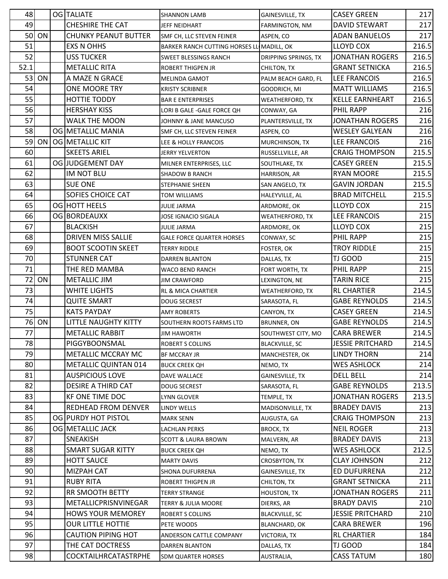| 48   |       | OG TALIATE                  | <b>SHANNON LAMB</b>                       | GAINESVILLE, TX             | <b>CASEY GREEN</b>      | 217   |
|------|-------|-----------------------------|-------------------------------------------|-----------------------------|-------------------------|-------|
| 49   |       | <b>CHESHIRE THE CAT</b>     | JEFF NEIDHART                             | FARMINGTON, NM              | <b>DAVID STEWART</b>    | 217   |
| 50   | ON    | <b>CHUNKY PEANUT BUTTER</b> | SMF CH, LLC STEVEN FEINER                 | ASPEN, CO                   | <b>ADAN BANUELOS</b>    | 217   |
| 51   |       | <b>EXS N OHHS</b>           | BARKER RANCH CUTTING HORSES LL MADILL, OK |                             | <b>LLOYD COX</b>        | 216.5 |
| 52   |       | <b>USS TUCKER</b>           | SWEET BLESSINGS RANCH                     | <b>DRIPPING SPRINGS, TX</b> | <b>JONATHAN ROGERS</b>  | 216.5 |
| 52.1 |       | <b>METALLIC RITA</b>        | ROBERT THIGPEN JR                         | CHILTON, TX                 | <b>GRANT SETNICKA</b>   | 216.5 |
| 53   | ON    | A MAZE N GRACE              | <b>MELINDA GAMOT</b>                      | PALM BEACH GARD, FL         | <b>LEE FRANCOIS</b>     | 216.5 |
| 54   |       | ONE MOORE TRY               | <b>KRISTY SCRIBNER</b>                    | GOODRICH, MI                | <b>MATT WILLIAMS</b>    | 216.5 |
| 55   |       | HOTTIE TODDY                | <b>BAR E ENTERPRISES</b>                  | <b>WEATHERFORD, TX</b>      | <b>KELLE EARNHEART</b>  | 216.5 |
| 56   |       | <b>HERSHAY KISS</b>         | LORI B GALE -GALE FORCE QH                | CONWAY, GA                  | PHIL RAPP               | 216   |
| 57   |       | <b>WALK THE MOON</b>        | JOHNNY & JANE MANCUSO                     | PLANTERSVILLE, TX           | <b>JONATHAN ROGERS</b>  | 216   |
| 58   |       | OG METALLIC MANIA           | SMF CH, LLC STEVEN FEINER                 | ASPEN, CO                   | <b>WESLEY GALYEAN</b>   | 216   |
| 59   | ON    | OG METALLIC KIT             | LEE & HOLLY FRANCOIS                      | MURCHINSON, TX              | LEE FRANCOIS            | 216   |
| 60   |       | <b>SKEETS ARIEL</b>         | <b>JERRY YELVERTON</b>                    | RUSSELLVILLE, AR            | <b>CRAIG THOMPSON</b>   | 215.5 |
| 61   |       | OG JUDGEMENT DAY            | MILNER ENTERPRISES, LLC                   | SOUTHLAKE, TX               | <b>CASEY GREEN</b>      | 215.5 |
| 62   |       | IM NOT BLU                  | <b>SHADOW B RANCH</b>                     | HARRISON, AR                | <b>RYAN MOORE</b>       | 215.5 |
| 63   |       | <b>SUE ONE</b>              | STEPHANIE SHEEN                           | SAN ANGELO, TX              | <b>GAVIN JORDAN</b>     | 215.5 |
| 64   |       | <b>SOFIES CHOICE CAT</b>    | TOM WILLIAMS                              | HALEYVILLE, AL              | <b>BRAD MITCHELL</b>    | 215.5 |
| 65   |       | <b>OGIHOTT HEELS</b>        | <b>JULIE JARMA</b>                        | ARDMORE, OK                 | <b>LLOYD COX</b>        | 215   |
| 66   |       | OG BORDEAUXX                | JOSE IGNACIO SIGALA                       | <b>WEATHERFORD, TX</b>      | LEE FRANCOIS            | 215   |
| 67   |       | <b>BLACKISH</b>             | <b>JULIE JARMA</b>                        | ARDMORE, OK                 | <b>LLOYD COX</b>        | 215   |
| 68   |       | <b>DRIVEN MISS SALLIE</b>   | <b>GALE FORCE QUARTER HORSES</b>          | CONWAY, SC                  | PHIL RAPP               | 215   |
| 69   |       | <b>BOOT SCOOTIN SKEET</b>   | <b>TERRY RIDDLE</b>                       | <b>FOSTER, OK</b>           | <b>TROY RIDDLE</b>      | 215   |
| 70   |       | <b>STUNNER CAT</b>          | <b>DARREN BLANTON</b>                     | DALLAS, TX                  | <b>TJ GOOD</b>          | 215   |
| 71   |       | THE RED MAMBA               | WACO BEND RANCH                           | FORT WORTH, TX              | PHIL RAPP               | 215   |
| 72   | ON    | METALLIC JIM                | <b>JIM CRAWFORD</b>                       | LEXINGTON, NE               | <b>TARIN RICE</b>       | 215   |
| 73   |       | <b>WHITE LIGHTS</b>         | <b>RL &amp; MICA CHARTIER</b>             | <b>WEATHERFORD, TX</b>      | <b>RL CHARTIER</b>      | 214.5 |
| 74   |       | <b>QUITE SMART</b>          | <b>DOUG SECREST</b>                       | SARASOTA, FL                | <b>GABE REYNOLDS</b>    | 214.5 |
| 75   |       | <b>KATS PAYDAY</b>          | <b>AMY ROBERTS</b>                        | CANYON, TX                  | <b>CASEY GREEN</b>      | 214.5 |
|      | 76 ON | <b>LITTLE NAUGHTY KITTY</b> | SOUTHERN ROOTS FARMS LTD                  | <b>BRUNNER, ON</b>          | <b>GABE REYNOLDS</b>    | 214.5 |
| 77   |       | <b>METALLIC RABBIT</b>      | <b>JIM HAWORTH</b>                        | SOUTHWEST CITY, MO          | <b>CARA BREWER</b>      | 214.5 |
| 78   |       | PIGGYBOONSMAL               | <b>ROBERT S COLLINS</b>                   | <b>BLACKVILLE, SC</b>       | <b>JESSIE PRITCHARD</b> | 214.5 |
| 79   |       | METALLIC MCCRAY MC          | <b>BF MCCRAY JR</b>                       | MANCHESTER, OK              | <b>LINDY THORN</b>      | 214   |
| 80   |       | METALLIC QUINTAN 014        | <b>BUCK CREEK QH</b>                      | NEMO, TX                    | <b>WES ASHLOCK</b>      | 214   |
| 81   |       | <b>AUSPICIOUS LOVE</b>      | DAVE WALLACE                              | GAINESVILLE, TX             | <b>DELL BELL</b>        | 214   |
| 82   |       | <b>DESIRE A THIRD CAT</b>   | <b>DOUG SECREST</b>                       | SARASOTA, FL                | <b>GABE REYNOLDS</b>    | 213.5 |
| 83   |       | KF ONE TIME DOC             | <b>LYNN GLOVER</b>                        | TEMPLE, TX                  | <b>JONATHAN ROGERS</b>  | 213.5 |
| 84   |       | <b>REDHEAD FROM DENVER</b>  | <b>LINDY WELLS</b>                        | MADISONVILLE, TX            | <b>BRADEY DAVIS</b>     | 213   |
| 85   |       | OG PURDY HOT PISTOL         | <b>MARK SENN</b>                          | AUGUSTA, GA                 | <b>CRAIG THOMPSON</b>   | 213   |
| 86   |       | OG METALLIC JACK            | <b>LACHLAN PERKS</b>                      | <b>BROCK, TX</b>            | <b>NEIL ROGER</b>       | 213   |
| 87   |       | SNEAKISH                    | <b>SCOTT &amp; LAURA BROWN</b>            | MALVERN, AR                 | <b>BRADEY DAVIS</b>     | 213   |
| 88   |       | <b>SMART SUGAR KITTY</b>    | <b>BUCK CREEK QH</b>                      | NEMO, TX                    | <b>WES ASHLOCK</b>      | 212.5 |
| 89   |       | <b>HOTT SAUCE</b>           | <b>MARTY DAVIS</b>                        | CROSBYTON, TX               | <b>CLAY JOHNSON</b>     | 212   |
| 90   |       | MIZPAH CAT                  | SHONA DUFURRENA                           | GAINESVILLE, TX             | ED DUFURRENA            | 212   |
| 91   |       | <b>RUBY RITA</b>            | <b>ROBERT THIGPEN JR</b>                  | CHILTON, TX                 | <b>GRANT SETNICKA</b>   | 211   |
| 92   |       | <b>RR SMOOTH BETTY</b>      | <b>TERRY STRANGE</b>                      | <b>HOUSTON, TX</b>          | <b>JONATHAN ROGERS</b>  | 211   |
| 93   |       | METALLICPRISNVINEGAR        | <b>TERRY &amp; JULIA MOORE</b>            | DIERKS, AR                  | <b>BRADY DAVIS</b>      | 210   |
| 94   |       | <b>HOWS YOUR MEMOREY</b>    | <b>ROBERT S COLLINS</b>                   | <b>BLACKVILLE, SC</b>       | <b>JESSIE PRITCHARD</b> | 210   |
| 95   |       | <b>OUR LITTLE HOTTIE</b>    | PETE WOODS                                | <b>BLANCHARD, OK</b>        | <b>CARA BREWER</b>      | 196   |
| 96   |       | <b>CAUTION PIPING HOT</b>   | ANDERSON CATTLE COMPANY                   | VICTORIA, TX                | <b>RL CHARTIER</b>      | 184   |
| 97   |       | THE CAT DOCTRESS            | <b>DARREN BLANTON</b>                     | DALLAS, TX                  | TJ GOOD                 | 184   |
| 98   |       | COCKTAILHRCATASTRPHE        | SDM QUARTER HORSES                        | AUSTRALIA,                  | <b>CASS TATUM</b>       | 180   |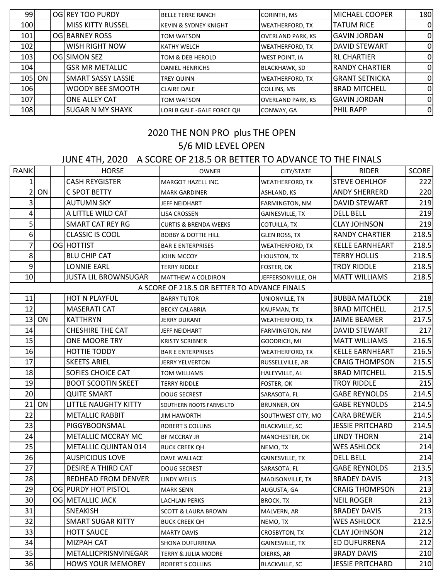| 99         |          |                           | <b>BELLE TERRE RANCH</b>                           | <b>CORINTH, MS</b>       | MICHAEL COOPER        | 180      |
|------------|----------|---------------------------|----------------------------------------------------|--------------------------|-----------------------|----------|
| 100        |          | <b>MISS KITTY RUSSEL</b>  | <b>KEVIN &amp; SYDNEY KNIGHT</b>                   | <b>WEATHERFORD, TX</b>   | <b>TATUM RICE</b>     | $\Omega$ |
|            |          |                           | TOM WATSON                                         | <b>OVERLAND PARK, KS</b> | <b>I</b> GAVIN JORDAN | $\Omega$ |
| 102        |          | <b>WISH RIGHT NOW</b>     | <b>KATHY WELCH</b>                                 | <b>WEATHERFORD, TX</b>   | DAVID STEWART         | 0        |
| 103        |          |                           | TOM & DEB HEROLD                                   | <b>WEST POINT, IA</b>    | <b>IRL CHARTIER</b>   | $\Omega$ |
| 104        |          | <b>GSR MR METALLIC</b>    | <b>DANIEL HENRICHS</b>                             | <b>BLACKHAWK, SD</b>     | <b>RANDY CHARTIER</b> | 0        |
|            |          | <b>SMART SASSY LASSIE</b> | <b>TREY QUINN</b>                                  | <b>WEATHERFORD, TX</b>   | <b>GRANT SETNICKA</b> | $\Omega$ |
| <b>106</b> |          | <b>WOODY BEE SMOOTH</b>   | <b>CLAIRE DALE</b>                                 | COLLINS, MS              | <b>BRAD MITCHELL</b>  | $\Omega$ |
| 107        |          | <b>ONE ALLEY CAT</b>      | TOM WATSON                                         | <b>OVERLAND PARK, KS</b> | <b>I</b> GAVIN JORDAN | $\Omega$ |
| 108        |          | <b>SUGAR N MY SHAYK</b>   | LORI B GALE - GALE FORCE QH                        | CONWAY, GA               | <b>PHIL RAPP</b>      | $\Omega$ |
|            | $105$ ON |                           | OG REY TOO PURDY<br>OG BARNEY ROSS<br>OGISIMON SEZ |                          |                       |          |

## 5/6 MID LEVEL OPEN 2020 THE NON PRO plus THE OPEN

## JUNE 4TH, 2020 A SCORE OF 218.5 OR BETTER TO ADVANCE TO THE FINALS

| <b>RANK</b>    |    | <b>HORSE</b>                | <b>OWNER</b>                                 | CITY/STATE             | <b>RIDER</b>            | <b>SCORE</b> |
|----------------|----|-----------------------------|----------------------------------------------|------------------------|-------------------------|--------------|
| 1              |    | <b>CASH REYGISTER</b>       | MARGOT HAZELL INC.                           | WEATHERFORD, TX        | <b>STEVE OEHLHOF</b>    | 222          |
| $\overline{2}$ | ON | C SPOT BETTY                | <b>MARK GARDINER</b>                         | <b>ASHLAND, KS</b>     | <b>ANDY SHERRERD</b>    | 220          |
| 3              |    | <b>AUTUMN SKY</b>           | JEFF NEIDHART                                | FARMINGTON, NM         | DAVID STEWART           | 219          |
| 4              |    | A LITTLE WILD CAT           | LISA CROSSEN                                 | GAINESVILLE, TX        | <b>DELL BELL</b>        | 219          |
| 5              |    | <b>SMART CAT REY RG</b>     | <b>CURTIS &amp; BRENDA WEEKS</b>             | COTUILLA, TX           | <b>CLAY JOHNSON</b>     | 219          |
| 6 <sup>1</sup> |    | <b>CLASSIC IS COOL</b>      | <b>BOBBY &amp; DOTTIE HILL</b>               | <b>GLEN ROSS, TX</b>   | <b>RANDY CHARTIER</b>   | 218.5        |
|                |    | OG HOTTIST                  | <b>BAR E ENTERPRISES</b>                     | WEATHERFORD, TX        | <b>KELLE EARNHEART</b>  | 218.5        |
| 8 <sup>°</sup> |    | <b>BLU CHIP CAT</b>         | JOHN MCCOY                                   | HOUSTON, TX            | <b>TERRY HOLLIS</b>     | 218.5        |
| $\overline{9}$ |    | <b>LONNIE EARL</b>          | TERRY RIDDLE                                 | FOSTER, OK             | <b>TROY RIDDLE</b>      | 218.5        |
| 10             |    | <b>JUSTA LIL BROWNSUGAR</b> | MATTHEW A COLDIRON                           | JEFFERSONVILLE, OH     | <b>MATT WILLIAMS</b>    | 218.5        |
|                |    |                             | A SCORE OF 218.5 OR BETTER TO ADVANCE FINALS |                        |                         |              |
| 11             |    | <b>HOT N PLAYFUL</b>        | <b>BARRY TUTOR</b>                           | UNIONVILLE, TN         | <b>BUBBA MATLOCK</b>    | 218          |
| 12             |    | <b>MASERATI CAT</b>         | <b>BECKY CALABRIA</b>                        | <b>KAUFMAN, TX</b>     | <b>BRAD MITCHELL</b>    | 217.5        |
| 13             | ON | <b>KATTHRYN</b>             | JERRY DURANT                                 | WEATHERFORD, TX        | <b>JAIME BEAMER</b>     | 217.5        |
| 14             |    | <b>CHESHIRE THE CAT</b>     | JEFF NEIDHART                                | FARMINGTON, NM         | <b>DAVID STEWART</b>    | 217          |
| 15             |    | ONE MOORE TRY               | KRISTY SCRIBNER                              | GOODRICH, MI           | <b>MATT WILLIAMS</b>    | 216.5        |
| 16             |    | <b>HOTTIE TODDY</b>         | <b>BAR E ENTERPRISES</b>                     | WEATHERFORD, TX        | <b>KELLE EARNHEART</b>  | 216.5        |
| 17             |    | <b>SKEETS ARIEL</b>         | JERRY YELVERTON                              | RUSSELLVILLE, AR       | <b>CRAIG THOMPSON</b>   | 215.5        |
| 18             |    | SOFIES CHOICE CAT           | TOM WILLIAMS                                 | HALEYVILLE, AL         | <b>BRAD MITCHELL</b>    | 215.5        |
| 19             |    | <b>BOOT SCOOTIN SKEET</b>   | <b>TERRY RIDDLE</b>                          | FOSTER, OK             | <b>TROY RIDDLE</b>      | 215          |
| 20             |    | <b>QUITE SMART</b>          | DOUG SECREST                                 | SARASOTA, FL           | <b>GABE REYNOLDS</b>    | 214.5        |
| 21             | ON | LITTLE NAUGHTY KITTY        | SOUTHERN ROOTS FARMS LTD                     | <b>BRUNNER, ON</b>     | <b>GABE REYNOLDS</b>    | 214.5        |
| 22             |    | <b>METALLIC RABBIT</b>      | JIM HAWORTH                                  | SOUTHWEST CITY, MO     | <b>CARA BREWER</b>      | 214.5        |
| 23             |    | PIGGYBOONSMAL               | ROBERT S COLLINS                             | <b>BLACKVILLE, SC</b>  | <b>JESSIE PRITCHARD</b> | 214.5        |
| 24             |    | METALLIC MCCRAY MC          | <b>BF MCCRAY JR</b>                          | MANCHESTER, OK         | <b>LINDY THORN</b>      | 214          |
| 25             |    | METALLIC QUINTAN 014        | <b>BUCK CREEK QH</b>                         | NEMO, TX               | <b>WES ASHLOCK</b>      | 214          |
| 26             |    | <b>AUSPICIOUS LOVE</b>      | DAVE WALLACE                                 | <b>GAINESVILLE, TX</b> | <b>DELL BELL</b>        | 214          |
| 27             |    | DESIRE A THIRD CAT          | <b>DOUG SECREST</b>                          | SARASOTA, FL           | <b>GABE REYNOLDS</b>    | 213.5        |
| 28             |    | <b>REDHEAD FROM DENVER</b>  | <b>LINDY WELLS</b>                           | MADISONVILLE, TX       | <b>BRADEY DAVIS</b>     | 213          |
| 29             |    | OG PURDY HOT PISTOL         | <b>MARK SENN</b>                             | AUGUSTA, GA            | <b>CRAIG THOMPSON</b>   | 213          |
| 30             |    | OG METALLIC JACK            | <b>LACHLAN PERKS</b>                         | <b>BROCK, TX</b>       | <b>NEIL ROGER</b>       | 213          |
| 31             |    | SNEAKISH                    | <b>SCOTT &amp; LAURA BROWN</b>               | MALVERN, AR            | <b>BRADEY DAVIS</b>     | 213          |
| 32             |    | <b>SMART SUGAR KITTY</b>    | <b>BUCK CREEK QH</b>                         | NEMO, TX               | WES ASHLOCK             | 212.5        |
| 33             |    | <b>HOTT SAUCE</b>           | <b>MARTY DAVIS</b>                           | CROSBYTON, TX          | <b>CLAY JOHNSON</b>     | 212          |
| 34             |    | MIZPAH CAT                  | SHONA DUFURRENA                              | GAINESVILLE, TX        | ED DUFURRENA            | 212          |
| 35             |    | METALLICPRISNVINEGAR        | TERRY & JULIA MOORE                          | DIERKS, AR             | <b>BRADY DAVIS</b>      | 210          |
| 36             |    | <b>HOWS YOUR MEMOREY</b>    | ROBERT S COLLINS                             | <b>BLACKVILLE, SC</b>  | <b>JESSIE PRITCHARD</b> | 210          |